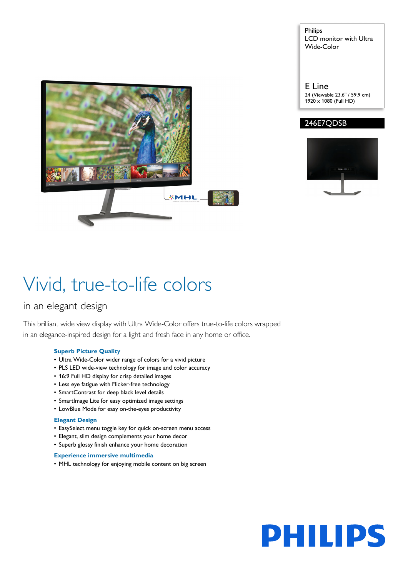Philips LCD monitor with Ultra Wide-Color



E Line 24 (Viewable 23.6" / 59.9 cm) 1920 x 1080 (Full HD)

#### 246E7QDSB



## Vivid, true-to-life colors

### in an elegant design

This brilliant wide view display with Ultra Wide-Color offers true-to-life colors wrapped in an elegance-inspired design for a light and fresh face in any home or office.

#### **Superb Picture Quality**

- Ultra Wide-Color wider range of colors for a vivid picture
- PLS LED wide-view technology for image and color accuracy
- 16:9 Full HD display for crisp detailed images
- Less eye fatigue with Flicker-free technology
- SmartContrast for deep black level details
- SmartImage Lite for easy optimized image settings
- LowBlue Mode for easy on-the-eyes productivity

#### **Elegant Design**

- EasySelect menu toggle key for quick on-screen menu access
- Elegant, slim design complements your home decor
- Superb glossy finish enhance your home decoration

#### **Experience immersive multimedia**

• MHL technology for enjoying mobile content on big screen

# **PHILIPS**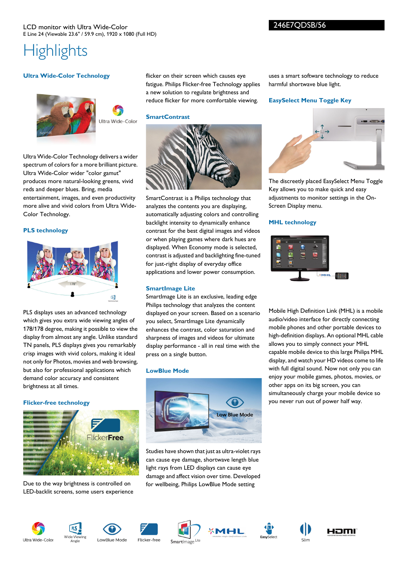### **Highlights**

#### **Ultra Wide-Color Technology**





Ultra Wide-Color Technology delivers a wider spectrum of colors for a more brilliant picture. Ultra Wide-Color wider "color gamut" produces more natural-looking greens, vivid reds and deeper blues. Bring, media entertainment, images, and even productivity more alive and vivid colors from Ultra Wide-Color Technology.

#### **PLS technology**



PLS displays uses an advanced technology which gives you extra wide viewing angles of 178/178 degree, making it possible to view the display from almost any angle. Unlike standard TN panels, PLS displays gives you remarkably crisp images with vivid colors, making it ideal not only for Photos, movies and web browsing, but also for professional applications which demand color accuracy and consistent brightness at all times.

#### **Flicker-free technology**



Due to the way brightness is controlled on LED-backlit screens, some users experience flicker on their screen which causes eye fatigue. Philips Flicker-free Technology applies a new solution to regulate brightness and reduce flicker for more comfortable viewing.

#### **SmartContrast**



SmartContrast is a Philips technology that analyzes the contents you are displaying, automatically adjusting colors and controlling backlight intensity to dynamically enhance contrast for the best digital images and videos or when playing games where dark hues are displayed. When Economy mode is selected, contrast is adjusted and backlighting fine-tuned for just-right display of everyday office applications and lower power consumption.

#### **SmartImage Lite**

SmartImage Lite is an exclusive, leading edge Philips technology that analyzes the content displayed on your screen. Based on a scenario you select, SmartImage Lite dynamically enhances the contrast, color saturation and sharpness of images and videos for ultimate display performance - all in real time with the press on a single button.

#### **LowBlue Mode**



Studies have shown that just as ultra-violet rays can cause eye damage, shortwave length blue light rays from LED displays can cause eye damage and affect vision over time. Developed for wellbeing, Philips LowBlue Mode setting

uses a smart software technology to reduce harmful shortwave blue light.

#### **EasySelect Menu Toggle Key**



The discreetly placed EasySelect Menu Toggle Key allows you to make quick and easy adjustments to monitor settings in the On-Screen Display menu.

#### **MHL technology**



Mobile High Definition Link (MHL) is a mobile audio/video interface for directly connecting mobile phones and other portable devices to high-definition displays. An optional MHL cable allows you to simply connect your MHL capable mobile device to this large Philips MHL display, and watch your HD videos come to life with full digital sound. Now not only you can enjoy your mobile games, photos, movies, or other apps on its big screen, you can simultaneously charge your mobile device so you never run out of power half way.